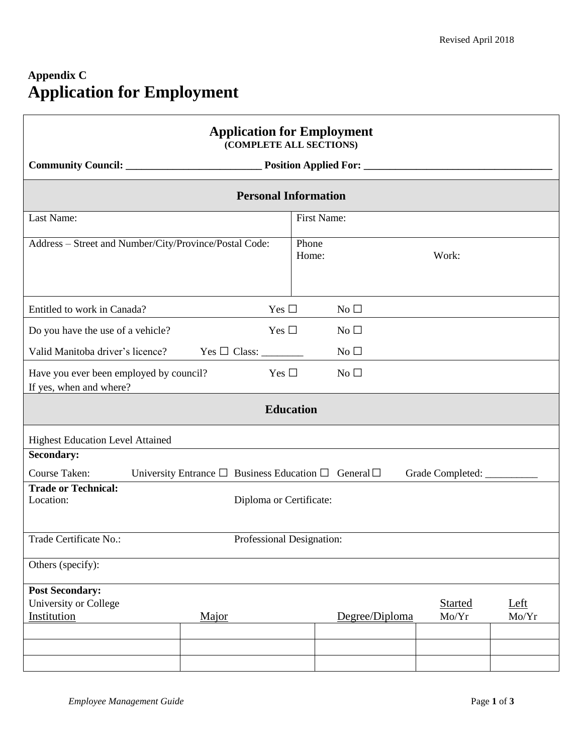## **Appendix C Application for Employment**

Г

| <b>Application for Employment</b><br>(COMPLETE ALL SECTIONS)       |                                                                              |                |                              |               |  |  |  |
|--------------------------------------------------------------------|------------------------------------------------------------------------------|----------------|------------------------------|---------------|--|--|--|
|                                                                    |                                                                              |                |                              |               |  |  |  |
| <b>Personal Information</b>                                        |                                                                              |                |                              |               |  |  |  |
| Last Name:                                                         |                                                                              | First Name:    |                              |               |  |  |  |
|                                                                    | Address - Street and Number/City/Province/Postal Code:                       | Phone<br>Home: | Work:                        |               |  |  |  |
| Entitled to work in Canada?                                        | Yes $\square$                                                                | No $\square$   |                              |               |  |  |  |
| Do you have the use of a vehicle?                                  | Yes $\Box$                                                                   | $No$ $\square$ |                              |               |  |  |  |
| Valid Manitoba driver's licence?                                   |                                                                              | No $\square$   |                              |               |  |  |  |
| Have you ever been employed by council?<br>If yes, when and where? | Yes $\Box$                                                                   | $No$ $\square$ |                              |               |  |  |  |
| <b>Education</b>                                                   |                                                                              |                |                              |               |  |  |  |
| <b>Highest Education Level Attained</b>                            |                                                                              |                |                              |               |  |  |  |
| <b>Secondary:</b>                                                  |                                                                              |                |                              |               |  |  |  |
| Course Taken:                                                      | University Entrance $\square$ Business Education $\square$ General $\square$ |                | Grade Completed: ___________ |               |  |  |  |
| Location:                                                          | <b>Trade or Technical:</b><br>Diploma or Certificate:                        |                |                              |               |  |  |  |
| Trade Certificate No.:                                             | Professional Designation:                                                    |                |                              |               |  |  |  |
| Others (specify):                                                  |                                                                              |                |                              |               |  |  |  |
| <b>Post Secondary:</b><br>University or College<br>Institution     | Major                                                                        | Degree/Diploma | <b>Started</b><br>Mo/Yr      | Left<br>Mo/Yr |  |  |  |
|                                                                    |                                                                              |                |                              |               |  |  |  |
|                                                                    |                                                                              |                |                              |               |  |  |  |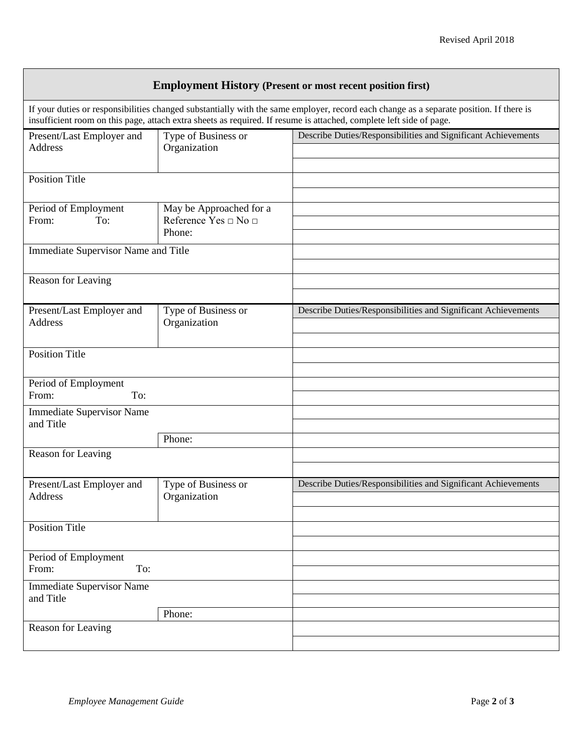| <b>Employment History (Present or most recent position first)</b>                                                                                                                                                                                              |                                                           |                                                               |  |  |  |  |
|----------------------------------------------------------------------------------------------------------------------------------------------------------------------------------------------------------------------------------------------------------------|-----------------------------------------------------------|---------------------------------------------------------------|--|--|--|--|
| If your duties or responsibilities changed substantially with the same employer, record each change as a separate position. If there is<br>insufficient room on this page, attach extra sheets as required. If resume is attached, complete left side of page. |                                                           |                                                               |  |  |  |  |
| Present/Last Employer and<br>Address                                                                                                                                                                                                                           | Type of Business or<br>Organization                       | Describe Duties/Responsibilities and Significant Achievements |  |  |  |  |
| <b>Position Title</b>                                                                                                                                                                                                                                          |                                                           |                                                               |  |  |  |  |
| Period of Employment<br>To:<br>From:                                                                                                                                                                                                                           | May be Approached for a<br>Reference Yes □ No □<br>Phone: |                                                               |  |  |  |  |
| Immediate Supervisor Name and Title                                                                                                                                                                                                                            |                                                           |                                                               |  |  |  |  |
| Reason for Leaving                                                                                                                                                                                                                                             |                                                           |                                                               |  |  |  |  |
| Present/Last Employer and<br>Address                                                                                                                                                                                                                           | Type of Business or<br>Organization                       | Describe Duties/Responsibilities and Significant Achievements |  |  |  |  |
| <b>Position Title</b>                                                                                                                                                                                                                                          |                                                           |                                                               |  |  |  |  |
| Period of Employment<br>From:<br>To:                                                                                                                                                                                                                           |                                                           |                                                               |  |  |  |  |
| <b>Immediate Supervisor Name</b><br>and Title                                                                                                                                                                                                                  |                                                           |                                                               |  |  |  |  |
| Reason for Leaving                                                                                                                                                                                                                                             | Phone:                                                    |                                                               |  |  |  |  |
|                                                                                                                                                                                                                                                                |                                                           |                                                               |  |  |  |  |
| Present/Last Employer and<br>Address                                                                                                                                                                                                                           | Type of Business or<br>Organization                       | Describe Duties/Responsibilities and Significant Achievements |  |  |  |  |
| <b>Position Title</b>                                                                                                                                                                                                                                          |                                                           |                                                               |  |  |  |  |
| Period of Employment<br>To:<br>From:                                                                                                                                                                                                                           |                                                           |                                                               |  |  |  |  |
| <b>Immediate Supervisor Name</b><br>and Title                                                                                                                                                                                                                  |                                                           |                                                               |  |  |  |  |
|                                                                                                                                                                                                                                                                | Phone:                                                    |                                                               |  |  |  |  |
| Reason for Leaving                                                                                                                                                                                                                                             |                                                           |                                                               |  |  |  |  |